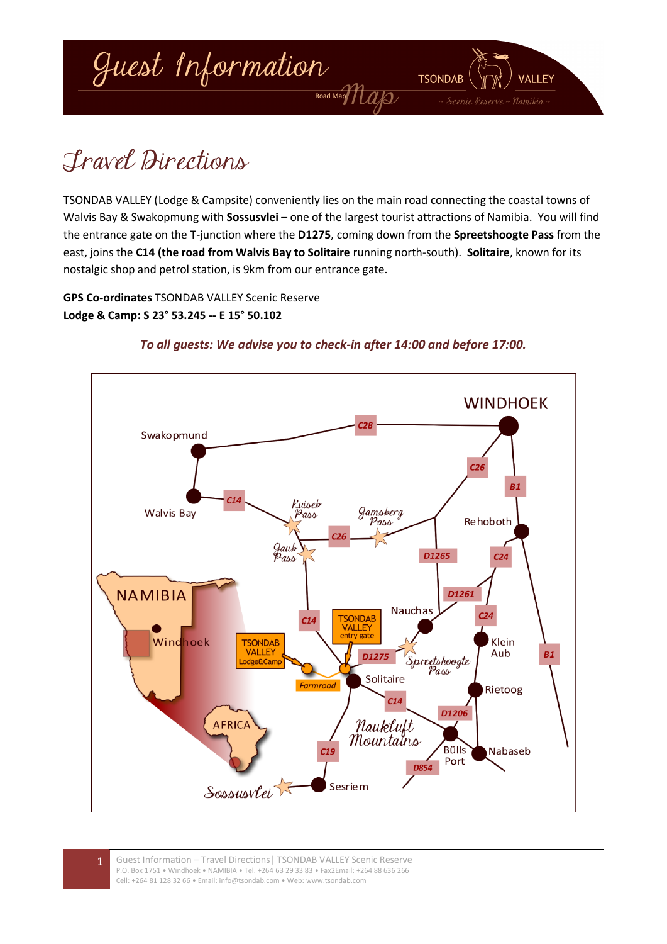

# Travel Directions

TSONDAB VALLEY (Lodge & Campsite) conveniently lies on the main road connecting the coastal towns of Walvis Bay & Swakopmung with **Sossusvlei** – one of the largest tourist attractions of Namibia. You will find the entrance gate on the T-junction where the **D1275**, coming down from the **Spreetshoogte Pass** from the east, joins the **C14 (the road from Walvis Bay to Solitaire** running north-south). **Solitaire**, known for its nostalgic shop and petrol station, is 9km from our entrance gate.

**GPS Co-ordinates** TSONDAB VALLEY Scenic Reserve **Lodge & Camp: S 23° 53.245 -- E 15° 50.102**